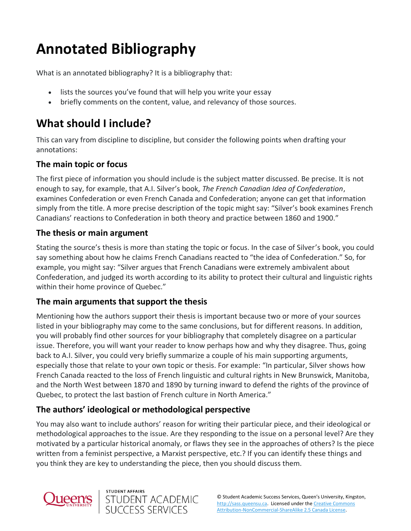# **Annotated Bibliography**

What is an annotated bibliography? It is a bibliography that:

- lists the sources you've found that will help you write your essay
- briefly comments on the content, value, and relevancy of those sources.

# **What should I include?**

This can vary from discipline to discipline, but consider the following points when drafting your annotations:

#### **The main topic or focus**

The first piece of information you should include is the subject matter discussed. Be precise. It is not enough to say, for example, that A.I. Silver's book, *The French Canadian Idea of Confederation*, examines Confederation or even French Canada and Confederation; anyone can get that information simply from the title. A more precise description of the topic might say: "Silver's book examines French Canadians' reactions to Confederation in both theory and practice between 1860 and 1900."

#### **The thesis or main argument**

Stating the source's thesis is more than stating the topic or focus. In the case of Silver's book, you could say something about how he claims French Canadians reacted to "the idea of Confederation." So, for example, you might say: "Silver argues that French Canadians were extremely ambivalent about Confederation, and judged its worth according to its ability to protect their cultural and linguistic rights within their home province of Quebec."

#### **The main arguments that support the thesis**

Mentioning how the authors support their thesis is important because two or more of your sources listed in your bibliography may come to the same conclusions, but for different reasons. In addition, you will probably find other sources for your bibliography that completely disagree on a particular issue. Therefore, you will want your reader to know perhaps how and why they disagree. Thus, going back to A.I. Silver, you could very briefly summarize a couple of his main supporting arguments, especially those that relate to your own topic or thesis. For example: "In particular, Silver shows how French Canada reacted to the loss of French linguistic and cultural rights in New Brunswick, Manitoba, and the North West between 1870 and 1890 by turning inward to defend the rights of the province of Quebec, to protect the last bastion of French culture in North America."

## **The authors' ideological or methodological perspective**

You may also want to include authors' reason for writing their particular piece, and their ideological or methodological approaches to the issue. Are they responding to the issue on a personal level? Are they motivated by a particular historical anomaly, or flaws they see in the approaches of others? Is the piece written from a feminist perspective, a Marxist perspective, etc.? If you can identify these things and you think they are key to understanding the piece, then you should discuss them.